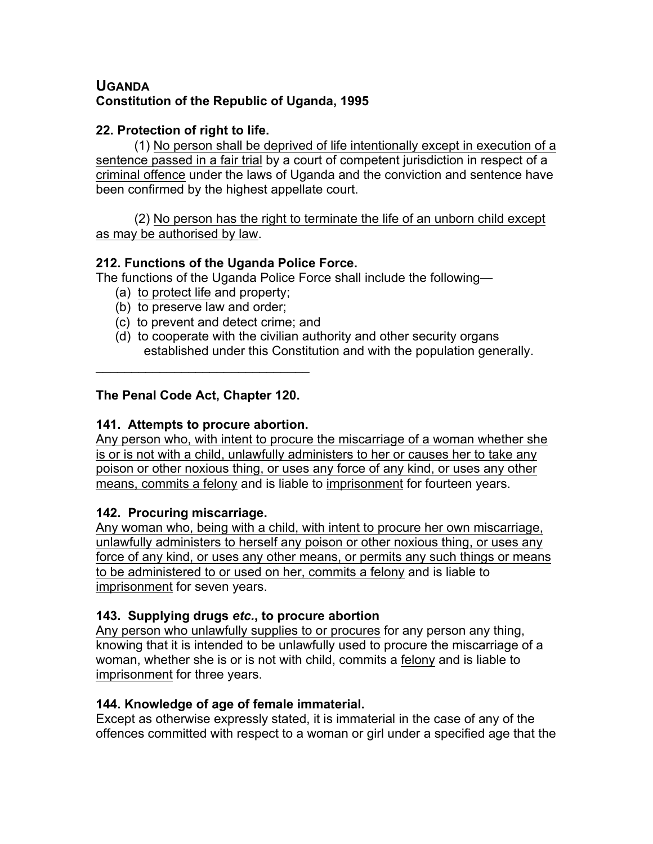# **UGANDA Constitution of the Republic of Uganda, 1995**

## **22. Protection of right to life.**

(1) No person shall be deprived of life intentionally except in execution of a sentence passed in a fair trial by a court of competent jurisdiction in respect of a criminal offence under the laws of Uganda and the conviction and sentence have been confirmed by the highest appellate court.

(2) No person has the right to terminate the life of an unborn child except as may be authorised by law.

## **212. Functions of the Uganda Police Force.**

The functions of the Uganda Police Force shall include the following—

- (a) to protect life and property;
- (b) to preserve law and order;
- (c) to prevent and detect crime; and
- (d) to cooperate with the civilian authority and other security organs established under this Constitution and with the population generally.

# **The Penal Code Act, Chapter 120.**

 $\mathcal{L}_\text{max}$  and  $\mathcal{L}_\text{max}$  and  $\mathcal{L}_\text{max}$ 

## **141. Attempts to procure abortion.**

Any person who, with intent to procure the miscarriage of a woman whether she is or is not with a child, unlawfully administers to her or causes her to take any poison or other noxious thing, or uses any force of any kind, or uses any other means, commits a felony and is liable to imprisonment for fourteen years.

# **142. Procuring miscarriage.**

Any woman who, being with a child, with intent to procure her own miscarriage, unlawfully administers to herself any poison or other noxious thing, or uses any force of any kind, or uses any other means, or permits any such things or means to be administered to or used on her, commits a felony and is liable to imprisonment for seven years.

# **143. Supplying drugs** *etc.***, to procure abortion**

Any person who unlawfully supplies to or procures for any person any thing, knowing that it is intended to be unlawfully used to procure the miscarriage of a woman, whether she is or is not with child, commits a felony and is liable to imprisonment for three years.

#### **144. Knowledge of age of female immaterial.**

Except as otherwise expressly stated, it is immaterial in the case of any of the offences committed with respect to a woman or girl under a specified age that the